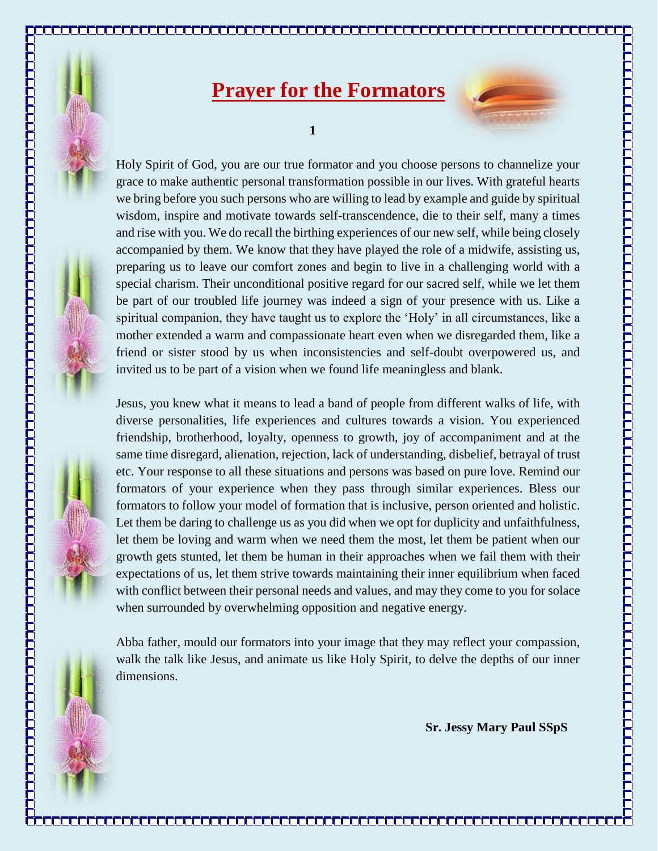

## **Prayer for the Formators**



**1**

Holy Spirit of God, you are our true formator and you choose persons to channelize your grace to make authentic personal transformation possible in our lives. With grateful hearts we bring before you such persons who are willing to lead by example and guide by spiritual wisdom, inspire and motivate towards self-transcendence, die to their self, many a times and rise with you. We do recall the birthing experiences of our new self, while being closely accompanied by them. We know that they have played the role of a midwife, assisting us, preparing us to leave our comfort zones and begin to live in a challenging world with a special charism. Their unconditional positive regard for our sacred self, while we let them be part of our troubled life journey was indeed a sign of your presence with us. Like a spiritual companion, they have taught us to explore the 'Holy' in all circumstances, like a mother extended a warm and compassionate heart even when we disregarded them, like a friend or sister stood by us when inconsistencies and self-doubt overpowered us, and invited us to be part of a vision when we found life meaningless and blank.

Jesus, you knew what it means to lead a band of people from different walks of life, with diverse personalities, life experiences and cultures towards a vision. You experienced friendship, brotherhood, loyalty, openness to growth, joy of accompaniment and at the same time disregard, alienation, rejection, lack of understanding, disbelief, betrayal of trust etc. Your response to all these situations and persons was based on pure love. Remind our formators of your experience when they pass through similar experiences. Bless our formators to follow your model of formation that is inclusive, person oriented and holistic. Let them be daring to challenge us as you did when we opt for duplicity and unfaithfulness, let them be loving and warm when we need them the most, let them be patient when our growth gets stunted, let them be human in their approaches when we fail them with their expectations of us, let them strive towards maintaining their inner equilibrium when faced with conflict between their personal needs and values, and may they come to you for solace when surrounded by overwhelming opposition and negative energy.

Abba father, mould our formators into your image that they may reflect your compassion, walk the talk like Jesus, and animate us like Holy Spirit, to delve the depths of our inner dimensions.

<u>in a sen a componenta a componenta a componenta a componenta a componenta a componenta a componenta </u>

**Sr. Jessy Mary Paul SSpS**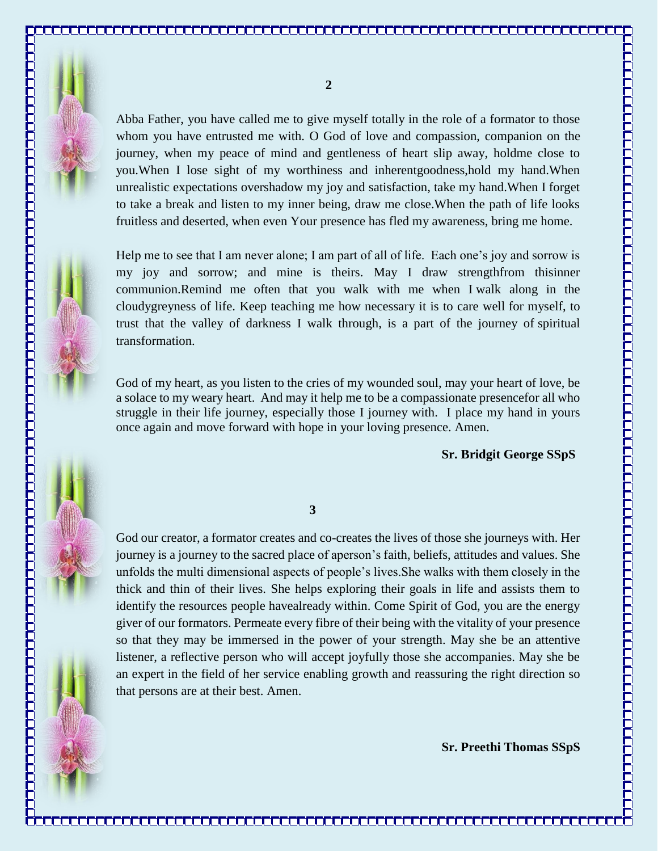

Abba Father, you have called me to give myself totally in the role of a formator to those whom you have entrusted me with. O God of love and compassion, companion on the journey, when my peace of mind and gentleness of heart slip away, holdme close to you.When I lose sight of my worthiness and inherentgoodness,hold my hand.When unrealistic expectations overshadow my joy and satisfaction, take my hand.When I forget to take a break and listen to my inner being, draw me close.When the path of life looks fruitless and deserted, when even Your presence has fled my awareness, bring me home.

Help me to see that I am never alone; I am part of all of life. Each one's joy and sorrow is my joy and sorrow; and mine is theirs. May I draw strengthfrom thisinner communion.Remind me often that you walk with me when I walk along in the cloudygreyness of life. Keep teaching me how necessary it is to care well for myself, to trust that the valley of darkness I walk through, is a part of the journey of spiritual transformation.

God of my heart, as you listen to the cries of my wounded soul, may your heart of love, be a solace to my weary heart. And may it help me to be a compassionate presencefor all who struggle in their life journey, especially those I journey with. I place my hand in yours once again and move forward with hope in your loving presence. Amen.

## **Sr. Bridgit George SSpS**

## **3**

God our creator, a formator creates and co-creates the lives of those she journeys with. Her journey is a journey to the sacred place of aperson's faith, beliefs, attitudes and values. She unfolds the multi dimensional aspects of people's lives.She walks with them closely in the thick and thin of their lives. She helps exploring their goals in life and assists them to identify the resources people havealready within. Come Spirit of God, you are the energy giver of our formators. Permeate every fibre of their being with the vitality of your presence so that they may be immersed in the power of your strength. May she be an attentive listener, a reflective person who will accept joyfully those she accompanies. May she be an expert in the field of her service enabling growth and reassuring the right direction so that persons are at their best. Amen.

<u>ta minimista mantana minimista minimista mantana minimista minimista minimista minimista minimista m</u>

 **Sr. Preethi Thomas SSpS**